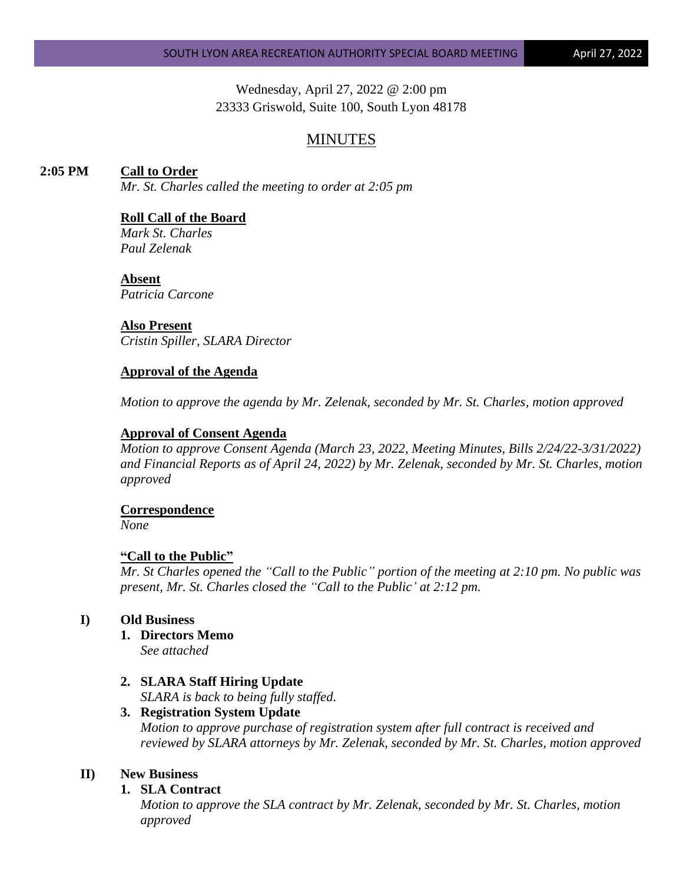Wednesday, April 27, 2022 @ 2:00 pm 23333 Griswold, Suite 100, South Lyon 48178

# MINUTES

# **2:05 PM Call to Order**

*Mr. St. Charles called the meeting to order at 2:05 pm*

# **Roll Call of the Board**

*Mark St. Charles Paul Zelenak*

#### **Absent**

*Patricia Carcone*

### **Also Present**

*Cristin Spiller, SLARA Director*

# **Approval of the Agenda**

*Motion to approve the agenda by Mr. Zelenak, seconded by Mr. St. Charles, motion approved*

### **Approval of Consent Agenda**

*Motion to approve Consent Agenda (March 23, 2022, Meeting Minutes, Bills 2/24/22-3/31/2022) and Financial Reports as of April 24, 2022) by Mr. Zelenak, seconded by Mr. St. Charles, motion approved*

#### **Correspondence**

*None*

# **"Call to the Public"**

*Mr. St Charles opened the "Call to the Public" portion of the meeting at 2:10 pm. No public was present, Mr. St. Charles closed the "Call to the Public' at 2:12 pm.*

# **I) Old Business**

- **1. Directors Memo** *See attached*
- **2. SLARA Staff Hiring Update** *SLARA is back to being fully staffed.*

# **3. Registration System Update**

*Motion to approve purchase of registration system after full contract is received and reviewed by SLARA attorneys by Mr. Zelenak, seconded by Mr. St. Charles, motion approved* 

# **II) New Business**

# **1. SLA Contract**

*Motion to approve the SLA contract by Mr. Zelenak, seconded by Mr. St. Charles, motion approved*